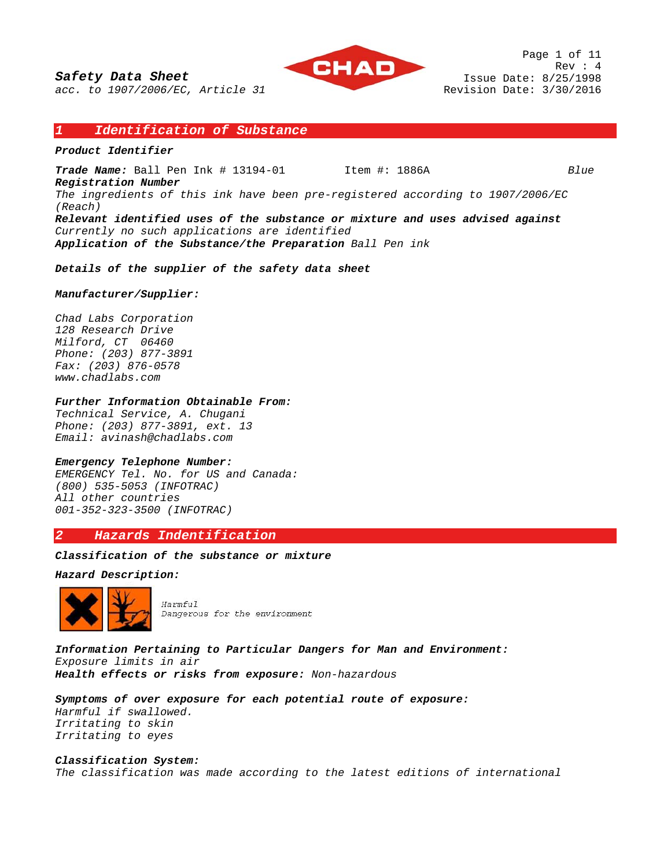

Page 1 of 11 Rev : 4 Issue Date: 8/25/1998 Revision Date: 3/30/2016

### *1 Identification of Substance*

### *Product Identifier*

*Trade Name:* Ball Pen Ink # 13194-01 Item #: 1886A *Blue*

*Registration Number The ingredients of this ink have been pre-registered according to 1907/2006/EC (Reach) Relevant identified uses of the substance or mixture and uses advised against Currently no such applications are identified Application of the Substance/the Preparation Ball Pen ink* 

*Details of the supplier of the safety data sheet* 

### *Manufacturer/Supplier:*

*Chad Labs Corporation 128 Research Drive Milford, CT 06460 Phone: (203) 877-3891 Fax: (203) 876-0578 www.chadlabs.com* 

### *Further Information Obtainable From:*

*Technical Service, A. Chugani Phone: (203) 877-3891, ext. 13 Email: avinash@chadlabs.com* 

#### *Emergency Telephone Number:*

*EMERGENCY Tel. No. for US and Canada: (800) 535-5053 (INFOTRAC) All other countries 001-352-323-3500 (INFOTRAC)* 

# *2 Hazards Indentification*

### *Classification of the substance or mixture*

#### *Hazard Description:*



Harmful Dangerous for the environment

*Information Pertaining to Particular Dangers for Man and Environment: Exposure limits in air Health effects or risks from exposure: Non-hazardous* 

*Symptoms of over exposure for each potential route of exposure: Harmful if swallowed.* 

*Irritating to skin Irritating to eyes* 

*Classification System: The classification was made according to the latest editions of international*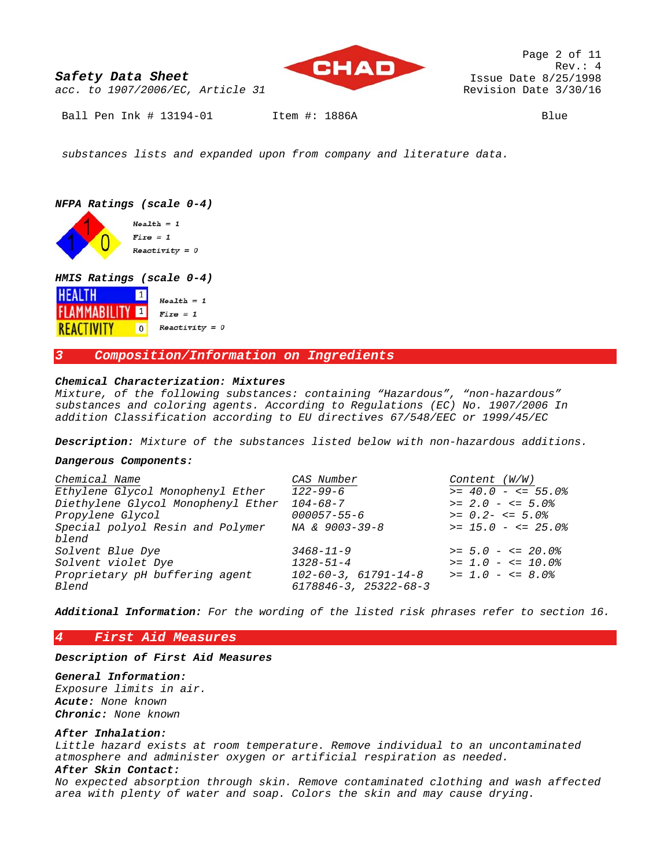

Page 2 of 11 Rev.: 4 Issue Date 8/25/1998 Revision Date 3/30/16

*acc. to 1907/2006/EC, Article 31* 

Ball Pen Ink # 13194-01 Item #: 1886A Blue

 *substances lists and expanded upon from company and literature data.* 

# *NFPA Ratings (scale 0-4)*

 $Health = 1$  $Fixe = 1$  $Reactivity = 0$ 

### *HMIS Ratings (scale 0-4)*

| <b>HEALTH</b><br>$\left(1\right)$ | $Health = 1$     |
|-----------------------------------|------------------|
| <b>FLAMMABILITY</b>               | $Fixe = 1$       |
| <b>REACTIVITY</b><br>$\Omega$     | $Reactivity = 0$ |

## *3 Composition/Information on Ingredients*

### *Chemical Characterization: Mixtures*

*Mixture, of the following substances: containing "Hazardous", "non-hazardous" substances and coloring agents. According to Regulations (EC) No. 1907/2006 In addition Classification according to EU directives 67/548/EEC or 1999/45/EC* 

*Description: Mixture of the substances listed below with non-hazardous additions.* 

#### *Dangerous Components:*

| Chemical Name                      | CAS Number                        | Content (W/W)       |
|------------------------------------|-----------------------------------|---------------------|
| Ethylene Glycol Monophenyl Ether   | $122 - 99 - 6$                    | $>= 40.0 - < 55.0$  |
| Diethylene Glycol Monophenyl Ether | $104 - 68 - 7$                    | $>= 2.0 - < 5.0$    |
| Propylene Glycol                   | $000057 - 55 - 6$                 | $>= 0.2 - \le 5.0$  |
| Special polyol Resin and Polymer   | NA & 9003-39-8                    | $>= 15.0 - = 25.0$  |
| blend                              |                                   |                     |
| Solvent Blue Dye                   | $3468 - 11 - 9$                   | $>= 5.0 - \le 20.0$ |
| Solvent violet Dye                 | $1328 - 51 - 4$                   | $>= 1.0 - \le 10.0$ |
| Proprietary pH buffering agent     | $102 - 60 - 3$ , $61791 - 14 - 8$ | $>= 1.0 - \le 8.0$  |
| Blend                              | $6178846 - 3, 25322 - 68 - 3$     |                     |
|                                    |                                   |                     |

*Additional Information: For the wording of the listed risk phrases refer to section 16.*

# *4 First Aid Measures*

*Description of First Aid Measures* 

*General Information: Exposure limits in air. Acute: None known Chronic: None known* 

#### *After Inhalation:*

*Little hazard exists at room temperature. Remove individual to an uncontaminated atmosphere and administer oxygen or artificial respiration as needed.* 

# *After Skin Contact:*

*No expected absorption through skin. Remove contaminated clothing and wash affected area with plenty of water and soap. Colors the skin and may cause drying.*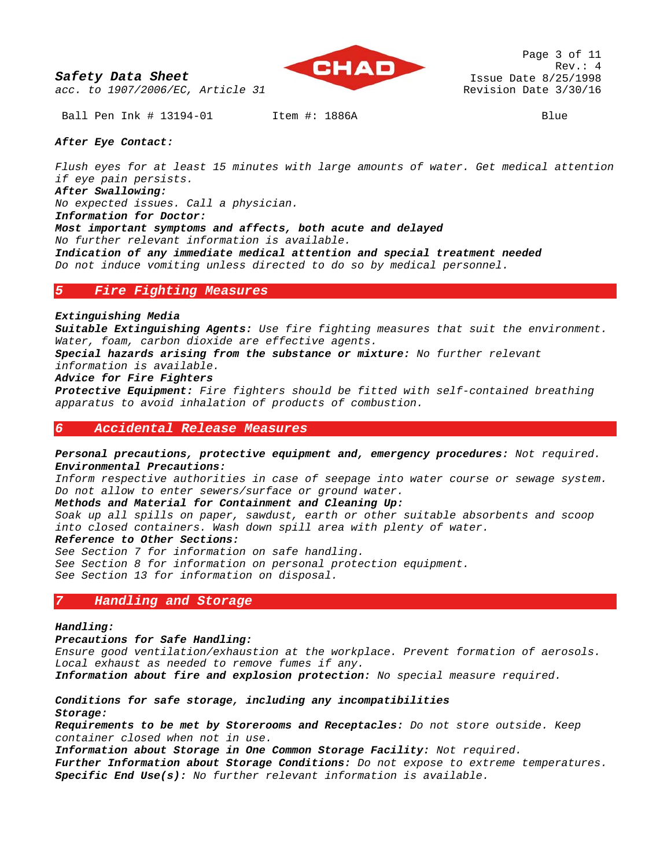



Page 3 of 11 Rev.: 4 Issue Date 8/25/1998 Revision Date 3/30/16

Ball Pen Ink # 13194-01 Item #: 1886A Blue

### *After Eye Contact:*

*Flush eyes for at least 15 minutes with large amounts of water. Get medical attention if eye pain persists. After Swallowing: No expected issues. Call a physician. Information for Doctor: Most important symptoms and affects, both acute and delayed No further relevant information is available. Indication of any immediate medical attention and special treatment needed Do not induce vomiting unless directed to do so by medical personnel.* 

### *5 Fire Fighting Measures*

### *Extinguishing Media*

*Suitable Extinguishing Agents: Use fire fighting measures that suit the environment. Water, foam, carbon dioxide are effective agents.* 

*Special hazards arising from the substance or mixture: No further relevant information is available.* 

#### *Advice for Fire Fighters*

*Protective Equipment: Fire fighters should be fitted with self-contained breathing apparatus to avoid inhalation of products of combustion.* 

# *6 Accidental Release Measures*

### *Personal precautions, protective equipment and, emergency procedures: Not required. Environmental Precautions:*

*Inform respective authorities in case of seepage into water course or sewage system. Do not allow to enter sewers/surface or ground water.* 

#### *Methods and Material for Containment and Cleaning Up:*

*Soak up all spills on paper, sawdust, earth or other suitable absorbents and scoop into closed containers. Wash down spill area with plenty of water.* 

### *Reference to Other Sections:*

*See Section 7 for information on safe handling. See Section 8 for information on personal protection equipment. See Section 13 for information on disposal.* 

## *7 Handling and Storage*

#### *Handling:*

*Precautions for Safe Handling:* 

*Ensure good ventilation/exhaustion at the workplace. Prevent formation of aerosols. Local exhaust as needed to remove fumes if any. Information about fire and explosion protection: No special measure required.* 

# *Conditions for safe storage, including any incompatibilities Storage:*

*Requirements to be met by Storerooms and Receptacles: Do not store outside. Keep container closed when not in use.* 

*Information about Storage in One Common Storage Facility: Not required. Further Information about Storage Conditions: Do not expose to extreme temperatures. Specific End Use(s): No further relevant information is available.*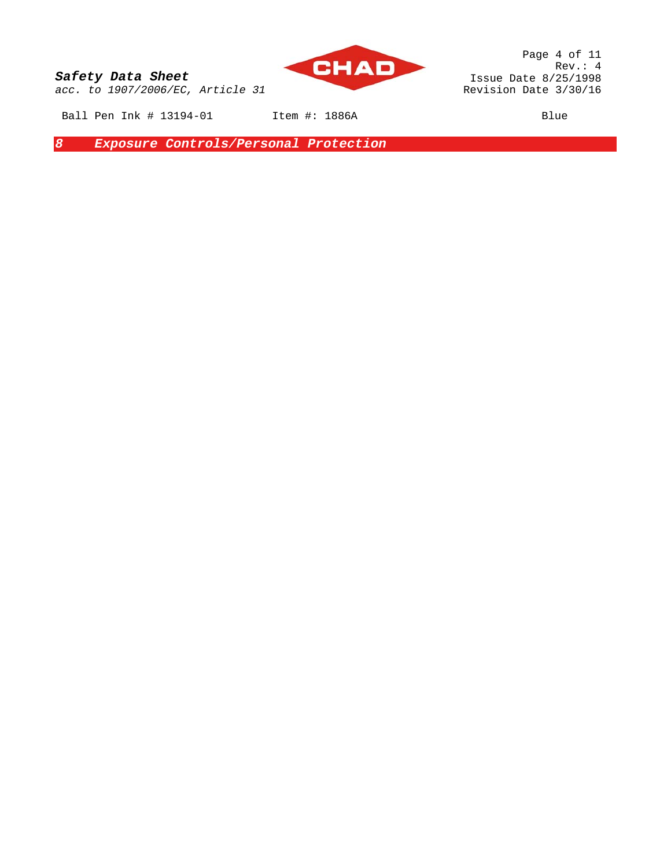

Page 4 of 11 Rev.: 4 Issue Date 8/25/1998 Revision Date 3/30/16

Ball Pen Ink # 13194-01 Item #: 1886A Blue

*8 Exposure Controls/Personal Protection*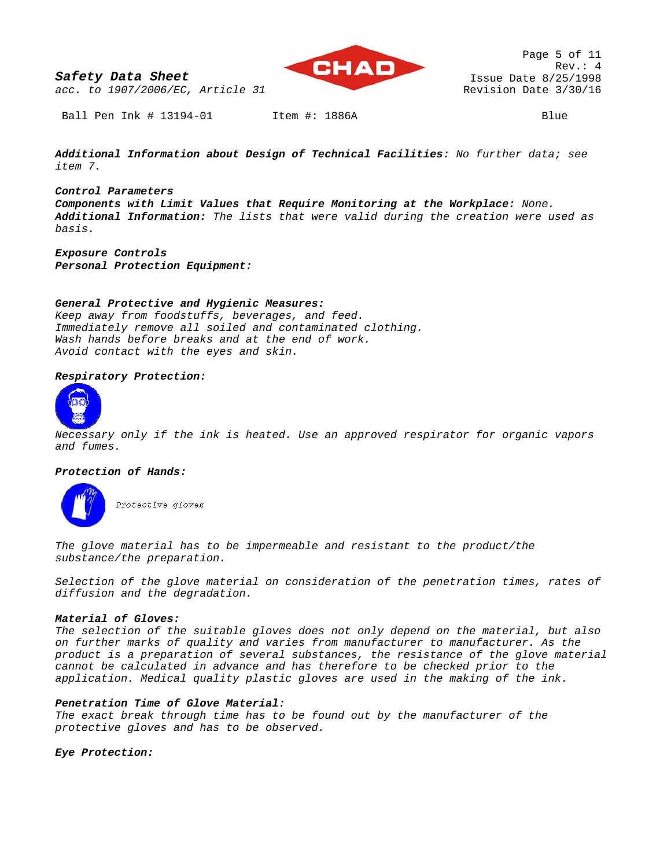*Safety Data Sheet acc. to 1907/2006/EC, Article 31* 



Ball Pen Ink # 13194-01 Item #: 1886A Blue

*Additional Information about Design of Technical Facilities: No further data; see item 7.* 

*Control Parameters Components with Limit Values that Require Monitoring at the Workplace: None. Additional Information: The lists that were valid during the creation were used as basis.* 

*Exposure Controls Personal Protection Equipment:* 

## *General Protective and Hygienic Measures:*

*Keep away from foodstuffs, beverages, and feed. Immediately remove all soiled and contaminated clothing. Wash hands before breaks and at the end of work. Avoid contact with the eyes and skin.* 

## *Respiratory Protection:*



*Necessary only if the ink is heated. Use an approved respirator for organic vapors and fumes.* 

### *Protection of Hands:*



*The glove material has to be impermeable and resistant to the product/the substance/the preparation.* 

*Selection of the glove material on consideration of the penetration times, rates of diffusion and the degradation.* 

### *Material of Gloves:*

*The selection of the suitable gloves does not only depend on the material, but also on further marks of quality and varies from manufacturer to manufacturer. As the product is a preparation of several substances, the resistance of the glove material cannot be calculated in advance and has therefore to be checked prior to the application. Medical quality plastic gloves are used in the making of the ink.* 

# *Penetration Time of Glove Material:*

*The exact break through time has to be found out by the manufacturer of the protective gloves and has to be observed.* 

*Eye Protection:*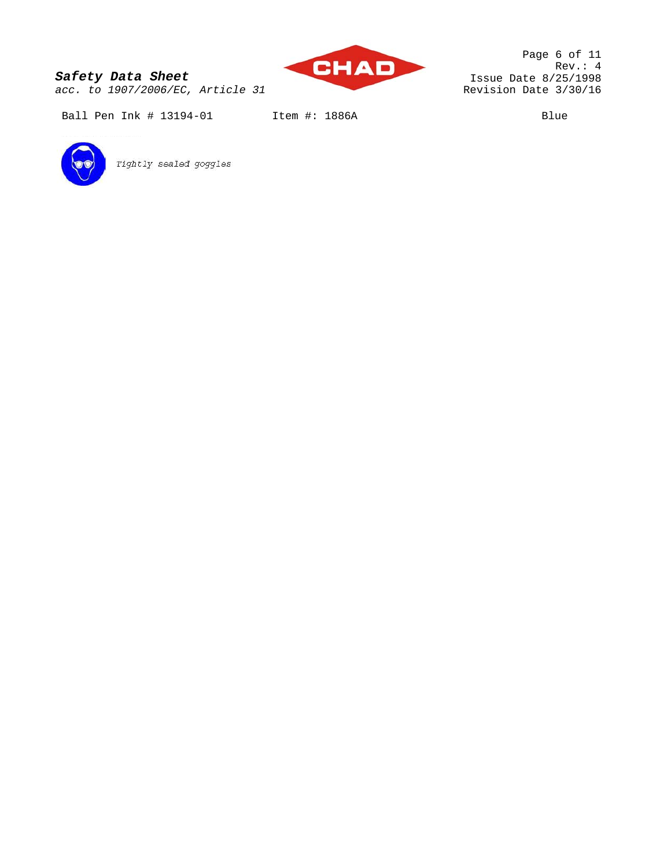*acc. to 1907/2006/EC, Article 31* 



Page 6 of 11 Rev.: 4 Issue Date 8/25/1998 Revision Date 3/30/16

Ball Pen Ink # 13194-01 Item #: 1886A Blue



Tightly sealed goggles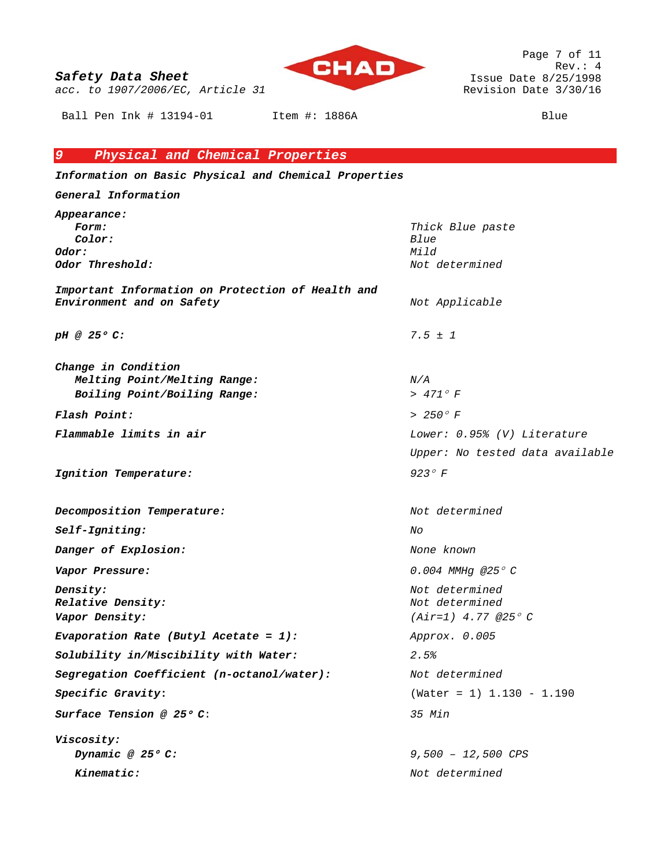*acc. to 1907/2006/EC, Article 31* 

Ball Pen Ink # 13194-01 Item #: 1886A Blue

**CHAD** 

Page 7 of 11 Rev.: 4 Issue Date 8/25/1998 Revision Date 3/30/16

# *9 Physical and Chemical Properties*

*Information on Basic Physical and Chemical Properties* 

*General Information Appearance: Form: Thick Blue paste Color: Blue Odor: Mild Odor Threshold: Not determined Important Information on Protection of Health and Environment and on Safety Not Applicable pH @ 25*° *C: 7.5 ± 1 Change in Condition Melting Point/Melting Range: N/A Boiling Point/Boiling Range: > 471*° *F Flash Point: > 250*° *F Flammable limits in air Lower: 0.95% (V) Literature Upper: No tested data available Ignition Temperature: 923*° *F Decomposition Temperature: Not determined Self-Igniting: No Danger of Explosion:* None known *None known Vapor Pressure: 0.004 MMHg @25*° *C Density: Not determined Relative Density: Not determined Vapor Density: (Air=1) 4.77 @25*° *C Evaporation Rate (Butyl Acetate = 1): Approx. 0.005 Solubility in/Miscibility with Water: 2.5% Segregation Coefficient (n-octanol/water): Not determined Specific Gravity***:** (Water = 1) 1.130 - 1.190 *Surface Tension @ 25*° *C*: *35 Min Viscosity: Dynamic @ 25*° *C: 9,500 – 12,500 CPS Kinematic: Not determined*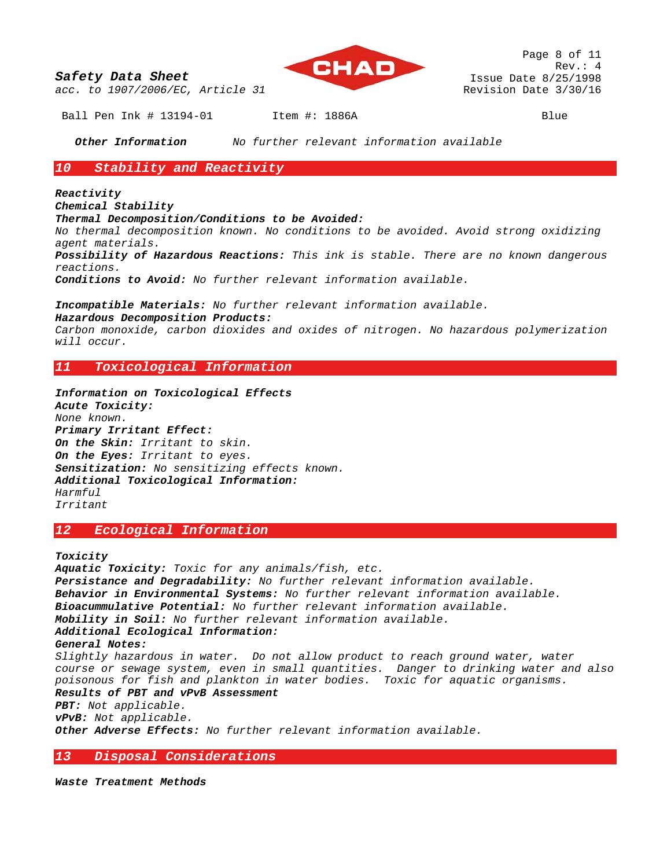*acc. to 1907/2006/EC, Article 31* 



Ball Pen Ink # 13194-01 Item #: 1886A Blue

*Other Information No further relevant information available* 

# *10 Stability and Reactivity*

# *Reactivity*

*Chemical Stability* 

### *Thermal Decomposition/Conditions to be Avoided:*

*No thermal decomposition known. No conditions to be avoided. Avoid strong oxidizing agent materials.* 

*Possibility of Hazardous Reactions: This ink is stable. There are no known dangerous reactions.*

*Conditions to Avoid: No further relevant information available.*

*Incompatible Materials: No further relevant information available.* 

# *Hazardous Decomposition Products:*

*Carbon monoxide, carbon dioxides and oxides of nitrogen. No hazardous polymerization will occur.* 

# *11 Toxicological Information*

*Information on Toxicological Effects Acute Toxicity: None known. Primary Irritant Effect: On the Skin: Irritant to skin. On the Eyes: Irritant to eyes. Sensitization: No sensitizing effects known. Additional Toxicological Information: Harmful Irritant* 

# *12 Ecological Information*

*Toxicity* 

*Aquatic Toxicity: Toxic for any animals/fish, etc. Persistance and Degradability: No further relevant information available. Behavior in Environmental Systems: No further relevant information available. Bioacummulative Potential: No further relevant information available. Mobility in Soil: No further relevant information available. Additional Ecological Information: General Notes: Slightly hazardous in water. Do not allow product to reach ground water, water course or sewage system, even in small quantities. Danger to drinking water and also poisonous for fish and plankton in water bodies. Toxic for aquatic organisms. Results of PBT and vPvB Assessment PBT: Not applicable. vPvB: Not applicable. Other Adverse Effects: No further relevant information available.* 

# *13 Disposal Considerations*

*Waste Treatment Methods*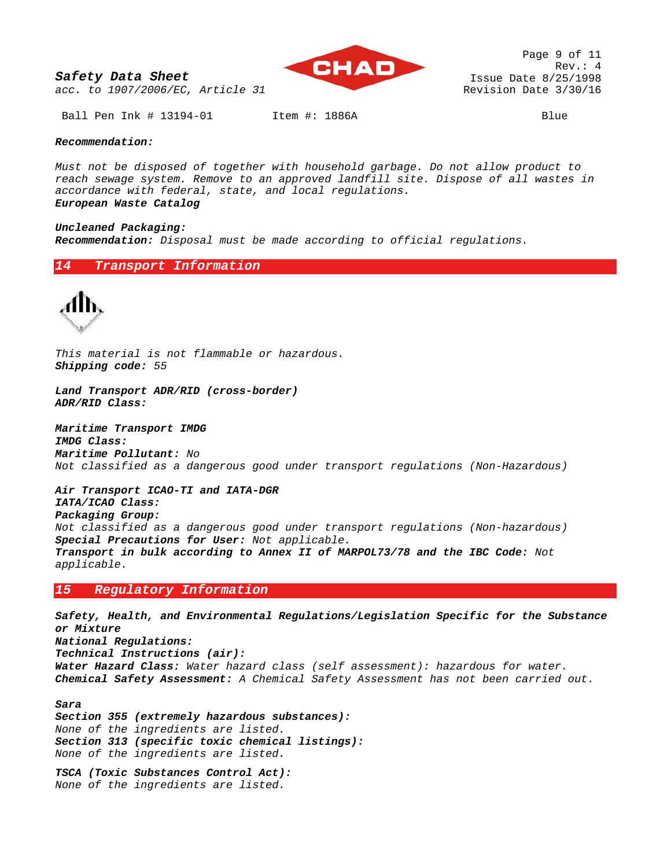*acc. to 1907/2006/EC, Article 31* 



Page 9 of 11 Rev.: 4 Issue Date 8/25/1998 Revision Date 3/30/16

Ball Pen Ink # 13194-01 Item #: 1886A Blue

#### *Recommendation:*

*Must not be disposed of together with household garbage. Do not allow product to reach sewage system. Remove to an approved landfill site. Dispose of all wastes in accordance with federal, state, and local regulations.* 

*European Waste Catalog* 

#### *Uncleaned Packaging:*

*Recommendation: Disposal must be made according to official regulations.* 

### *14 Transport Information*



*This material is not flammable or hazardous. Shipping code: 55* 

*Land Transport ADR/RID (cross-border) ADR/RID Class:* 

*Maritime Transport IMDG IMDG Class: Maritime Pollutant: No Not classified as a dangerous good under transport regulations (Non-Hazardous)*

*Air Transport ICAO-TI and IATA-DGR IATA/ICAO Class: Packaging Group: Not classified as a dangerous good under transport regulations (Non-hazardous) Special Precautions for User: Not applicable. Transport in bulk according to Annex II of MARPOL73/78 and the IBC Code: Not applicable.* 

# *15 Regulatory Information*

*Safety, Health, and Environmental Regulations/Legislation Specific for the Substance or Mixture National Regulations: Technical Instructions (air): Water Hazard Class: Water hazard class (self assessment): hazardous for water. Chemical Safety Assessment: A Chemical Safety Assessment has not been carried out.* 

*Sara* 

*Section 355 (extremely hazardous substances): None of the ingredients are listed. Section 313 (specific toxic chemical listings): None of the ingredients are listed.* 

*TSCA (Toxic Substances Control Act): None of the ingredients are listed.*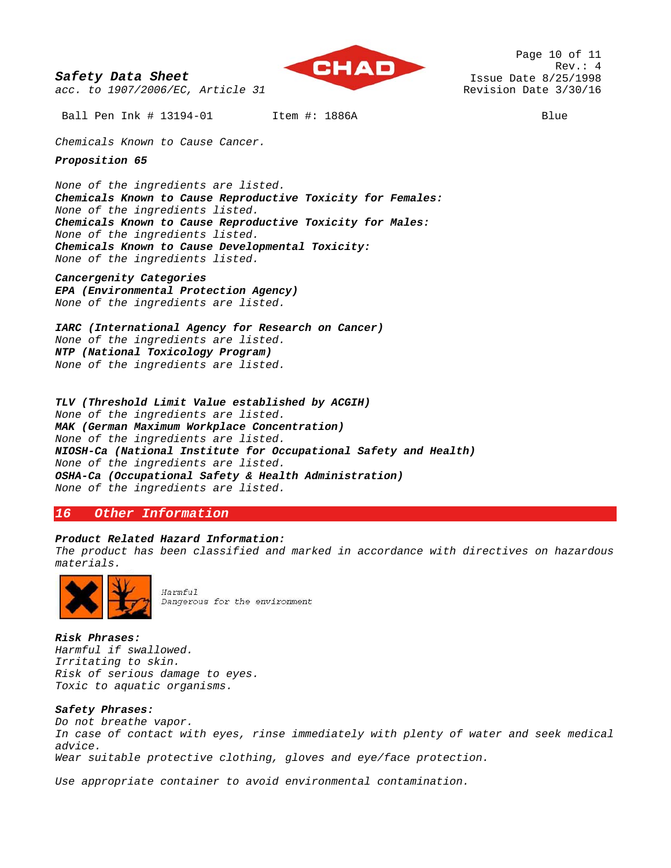

Page 10 of 11 Rev.: 4 Issue Date 8/25/1998 Revision Date 3/30/16

Ball Pen Ink # 13194-01 Item #: 1886A Blue

*Chemicals Known to Cause Cancer.* 

*acc. to 1907/2006/EC, Article 31* 

*Proposition 65* 

*None of the ingredients are listed. Chemicals Known to Cause Reproductive Toxicity for Females: None of the ingredients listed. Chemicals Known to Cause Reproductive Toxicity for Males: None of the ingredients listed. Chemicals Known to Cause Developmental Toxicity: None of the ingredients listed.* 

*Cancergenity Categories EPA (Environmental Protection Agency)* 

*None of the ingredients are listed.* 

*IARC (International Agency for Research on Cancer) None of the ingredients are listed. NTP (National Toxicology Program) None of the ingredients are listed.* 

*TLV (Threshold Limit Value established by ACGIH) None of the ingredients are listed. MAK (German Maximum Workplace Concentration) None of the ingredients are listed. NIOSH-Ca (National Institute for Occupational Safety and Health) None of the ingredients are listed. OSHA-Ca (Occupational Safety & Health Administration) None of the ingredients are listed.* 

# *16 Other Information*

### *Product Related Hazard Information:*

*The product has been classified and marked in accordance with directives on hazardous materials.* 



Harmful Dangerous for the environment

*Risk Phrases: Harmful if swallowed. Irritating to skin. Risk of serious damage to eyes. Toxic to aquatic organisms.* 

## *Safety Phrases:*

*Do not breathe vapor. In case of contact with eyes, rinse immediately with plenty of water and seek medical advice. Wear suitable protective clothing, gloves and eye/face protection.* 

*Use appropriate container to avoid environmental contamination.*